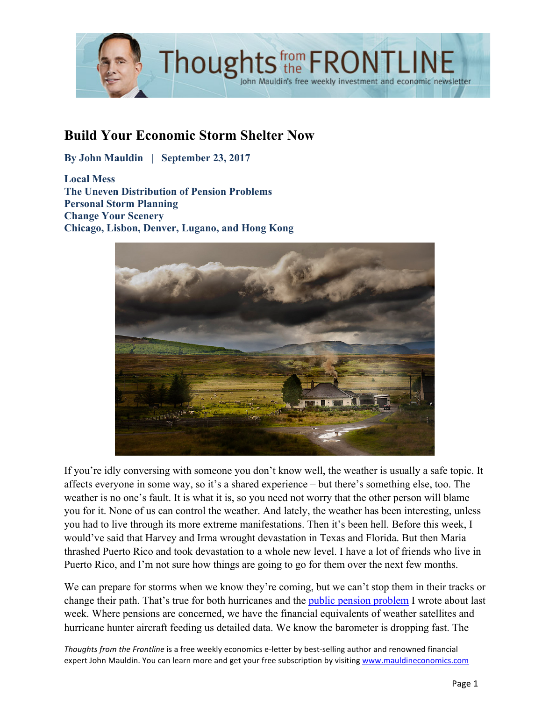

# **Build Your Economic Storm Shelter Now**

**By John Mauldin | September 23, 2017**

**Local Mess The Uneven Distribution of Pension Problems Personal Storm Planning Change Your Scenery Chicago, Lisbon, Denver, Lugano, and Hong Kong**



If you're idly conversing with someone you don't know well, the weather is usually a safe topic. It affects everyone in some way, so it's a shared experience – but there's something else, too. The weather is no one's fault. It is what it is, so you need not worry that the other person will blame you for it. None of us can control the weather. And lately, the weather has been interesting, unless you had to live through its more extreme manifestations. Then it's been hell. Before this week, I would've said that Harvey and Irma wrought devastation in Texas and Florida. But then Maria thrashed Puerto Rico and took devastation to a whole new level. I have a lot of friends who live in Puerto Rico, and I'm not sure how things are going to go for them over the next few months.

We can prepare for storms when we know they're coming, but we can't stop them in their tracks or change their path. That's true for both hurricanes and the [public pension problem](http://www.mauldineconomics.com/frontlinethoughts/pension-storm-warning) I wrote about last week. Where pensions are concerned, we have the financial equivalents of weather satellites and hurricane hunter aircraft feeding us detailed data. We know the barometer is dropping fast. The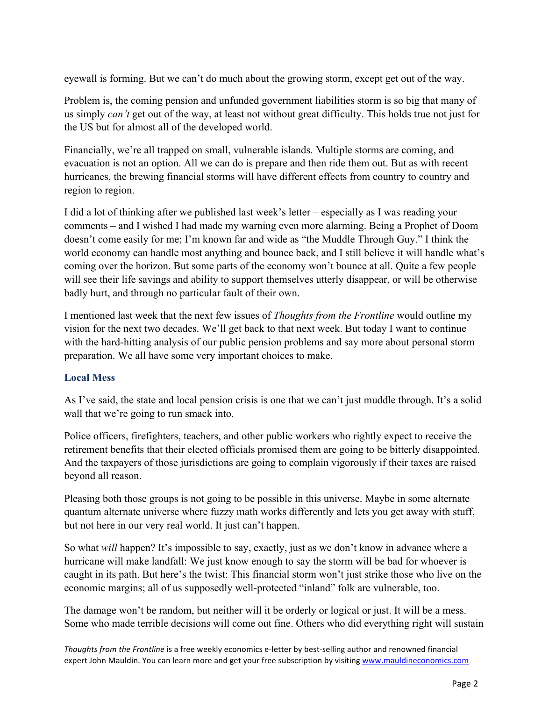eyewall is forming. But we can't do much about the growing storm, except get out of the way.

Problem is, the coming pension and unfunded government liabilities storm is so big that many of us simply *can't* get out of the way, at least not without great difficulty. This holds true not just for the US but for almost all of the developed world.

Financially, we're all trapped on small, vulnerable islands. Multiple storms are coming, and evacuation is not an option. All we can do is prepare and then ride them out. But as with recent hurricanes, the brewing financial storms will have different effects from country to country and region to region.

I did a lot of thinking after we published last week's letter – especially as I was reading your comments – and I wished I had made my warning even more alarming. Being a Prophet of Doom doesn't come easily for me; I'm known far and wide as "the Muddle Through Guy." I think the world economy can handle most anything and bounce back, and I still believe it will handle what's coming over the horizon. But some parts of the economy won't bounce at all. Quite a few people will see their life savings and ability to support themselves utterly disappear, or will be otherwise badly hurt, and through no particular fault of their own.

I mentioned last week that the next few issues of *Thoughts from the Frontline* would outline my vision for the next two decades. We'll get back to that next week. But today I want to continue with the hard-hitting analysis of our public pension problems and say more about personal storm preparation. We all have some very important choices to make.

## **Local Mess**

As I've said, the state and local pension crisis is one that we can't just muddle through. It's a solid wall that we're going to run smack into.

Police officers, firefighters, teachers, and other public workers who rightly expect to receive the retirement benefits that their elected officials promised them are going to be bitterly disappointed. And the taxpayers of those jurisdictions are going to complain vigorously if their taxes are raised beyond all reason.

Pleasing both those groups is not going to be possible in this universe. Maybe in some alternate quantum alternate universe where fuzzy math works differently and lets you get away with stuff, but not here in our very real world. It just can't happen.

So what *will* happen? It's impossible to say, exactly, just as we don't know in advance where a hurricane will make landfall: We just know enough to say the storm will be bad for whoever is caught in its path. But here's the twist: This financial storm won't just strike those who live on the economic margins; all of us supposedly well-protected "inland" folk are vulnerable, too.

The damage won't be random, but neither will it be orderly or logical or just. It will be a mess. Some who made terrible decisions will come out fine. Others who did everything right will sustain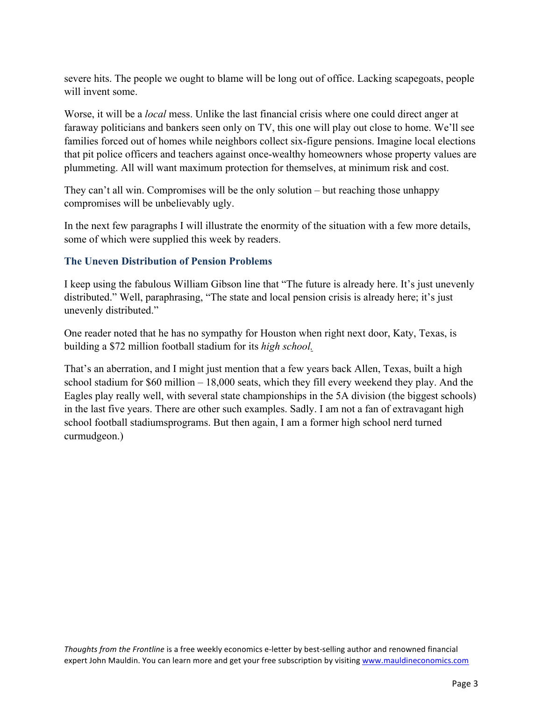severe hits. The people we ought to blame will be long out of office. Lacking scapegoats, people will invent some

Worse, it will be a *local* mess. Unlike the last financial crisis where one could direct anger at faraway politicians and bankers seen only on TV, this one will play out close to home. We'll see families forced out of homes while neighbors collect six-figure pensions. Imagine local elections that pit police officers and teachers against once-wealthy homeowners whose property values are plummeting. All will want maximum protection for themselves, at minimum risk and cost.

They can't all win. Compromises will be the only solution – but reaching those unhappy compromises will be unbelievably ugly.

In the next few paragraphs I will illustrate the enormity of the situation with a few more details, some of which were supplied this week by readers.

#### **The Uneven Distribution of Pension Problems**

I keep using the fabulous William Gibson line that "The future is already here. It's just unevenly distributed." Well, paraphrasing, "The state and local pension crisis is already here; it's just unevenly distributed."

One reader noted that he has no sympathy for Houston when right next door, Katy, Texas, is building a \$72 million football stadium for its *high school.* 

That's an aberration, and I might just mention that a few years back Allen, Texas, built a high school stadium for \$60 million – 18,000 seats, which they fill every weekend they play. And the Eagles play really well, with several state championships in the 5A division (the biggest schools) in the last five years. There are other such examples. Sadly. I am not a fan of extravagant high school football stadiumsprograms. But then again, I am a former high school nerd turned curmudgeon.)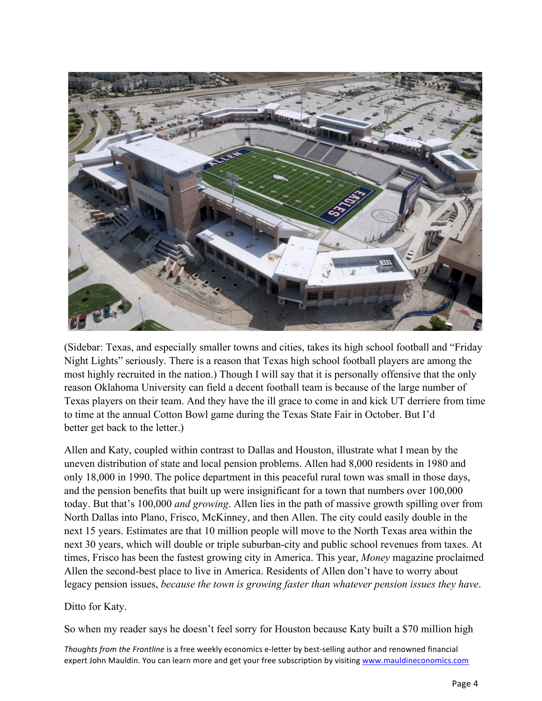

(Sidebar: Texas, and especially smaller towns and cities, takes its high school football and "Friday Night Lights" seriously. There is a reason that Texas high school football players are among the most highly recruited in the nation.) Though I will say that it is personally offensive that the only reason Oklahoma University can field a decent football team is because of the large number of Texas players on their team. And they have the ill grace to come in and kick UT derriere from time to time at the annual Cotton Bowl game during the Texas State Fair in October. But I'd better get back to the letter.)

Allen and Katy, coupled within contrast to Dallas and Houston, illustrate what I mean by the uneven distribution of state and local pension problems. Allen had 8,000 residents in 1980 and only 18,000 in 1990. The police department in this peaceful rural town was small in those days, and the pension benefits that built up were insignificant for a town that numbers over 100,000 today. But that's 100,000 *and growing*. Allen lies in the path of massive growth spilling over from North Dallas into Plano, Frisco, McKinney, and then Allen. The city could easily double in the next 15 years. Estimates are that 10 million people will move to the North Texas area within the next 30 years, which will double or triple suburban-city and public school revenues from taxes. At times, Frisco has been the fastest growing city in America. This year, *Money* magazine proclaimed Allen the second-best place to live in America. Residents of Allen don't have to worry about legacy pension issues, *because the town is growing faster than whatever pension issues they have*.

#### Ditto for Katy.

So when my reader says he doesn't feel sorry for Houston because Katy built a \$70 million high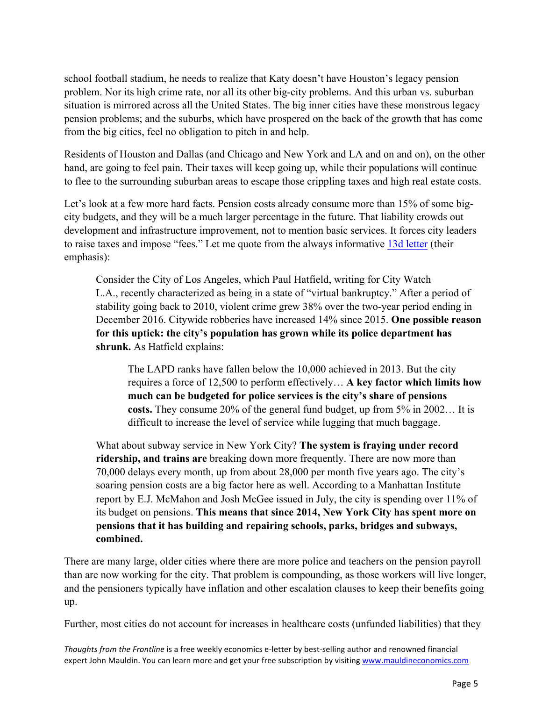school football stadium, he needs to realize that Katy doesn't have Houston's legacy pension problem. Nor its high crime rate, nor all its other big-city problems. And this urban vs. suburban situation is mirrored across all the United States. The big inner cities have these monstrous legacy pension problems; and the suburbs, which have prospered on the back of the growth that has come from the big cities, feel no obligation to pitch in and help.

Residents of Houston and Dallas (and Chicago and New York and LA and on and on), on the other hand, are going to feel pain. Their taxes will keep going up, while their populations will continue to flee to the surrounding suburban areas to escape those crippling taxes and high real estate costs.

Let's look at a few more hard facts. Pension costs already consume more than 15% of some bigcity budgets, and they will be a much larger percentage in the future. That liability crowds out development and infrastructure improvement, not to mention basic services. It forces city leaders to raise taxes and impose "fees." Let me quote from the always informative [13d letter](http://www.13d.com) (their emphasis):

Consider the City of Los Angeles, which Paul Hatfield, writing for City Watch L.A., recently characterized as being in a state of "virtual bankruptcy." After a period of stability going back to 2010, violent crime grew 38% over the two-year period ending in December 2016. Citywide robberies have increased 14% since 2015. **One possible reason for this uptick: the city's population has grown while its police department has shrunk.** As Hatfield explains:

The LAPD ranks have fallen below the 10,000 achieved in 2013. But the city requires a force of 12,500 to perform effectively… **A key factor which limits how much can be budgeted for police services is the city's share of pensions costs.** They consume 20% of the general fund budget, up from 5% in 2002… It is difficult to increase the level of service while lugging that much baggage.

What about subway service in New York City? **The system is fraying under record ridership, and trains are** breaking down more frequently. There are now more than 70,000 delays every month, up from about 28,000 per month five years ago. The city's soaring pension costs are a big factor here as well. According to a Manhattan Institute report by E.J. McMahon and Josh McGee issued in July, the city is spending over 11% of its budget on pensions. **This means that since 2014, New York City has spent more on pensions that it has building and repairing schools, parks, bridges and subways, combined.**

There are many large, older cities where there are more police and teachers on the pension payroll than are now working for the city. That problem is compounding, as those workers will live longer, and the pensioners typically have inflation and other escalation clauses to keep their benefits going up.

Further, most cities do not account for increases in healthcare costs (unfunded liabilities) that they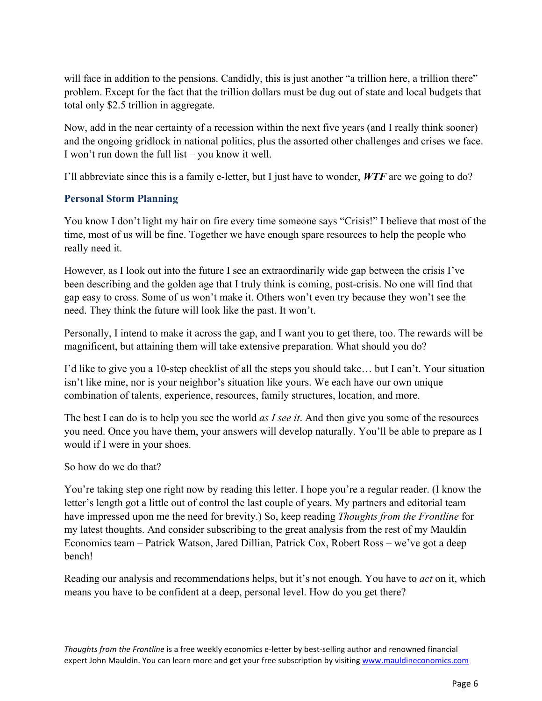will face in addition to the pensions. Candidly, this is just another "a trillion here, a trillion there" problem. Except for the fact that the trillion dollars must be dug out of state and local budgets that total only \$2.5 trillion in aggregate.

Now, add in the near certainty of a recession within the next five years (and I really think sooner) and the ongoing gridlock in national politics, plus the assorted other challenges and crises we face. I won't run down the full list – you know it well.

I'll abbreviate since this is a family e-letter, but I just have to wonder, *WTF* are we going to do?

## **Personal Storm Planning**

You know I don't light my hair on fire every time someone says "Crisis!" I believe that most of the time, most of us will be fine. Together we have enough spare resources to help the people who really need it.

However, as I look out into the future I see an extraordinarily wide gap between the crisis I've been describing and the golden age that I truly think is coming, post-crisis. No one will find that gap easy to cross. Some of us won't make it. Others won't even try because they won't see the need. They think the future will look like the past. It won't.

Personally, I intend to make it across the gap, and I want you to get there, too. The rewards will be magnificent, but attaining them will take extensive preparation. What should you do?

I'd like to give you a 10-step checklist of all the steps you should take… but I can't. Your situation isn't like mine, nor is your neighbor's situation like yours. We each have our own unique combination of talents, experience, resources, family structures, location, and more.

The best I can do is to help you see the world *as I see it*. And then give you some of the resources you need. Once you have them, your answers will develop naturally. You'll be able to prepare as I would if I were in your shoes.

So how do we do that?

You're taking step one right now by reading this letter. I hope you're a regular reader. (I know the letter's length got a little out of control the last couple of years. My partners and editorial team have impressed upon me the need for brevity.) So, keep reading *Thoughts from the Frontline* for my latest thoughts. And consider subscribing to the great analysis from the rest of my Mauldin Economics team – Patrick Watson, Jared Dillian, Patrick Cox, Robert Ross – we've got a deep bench!

Reading our analysis and recommendations helps, but it's not enough. You have to *act* on it, which means you have to be confident at a deep, personal level. How do you get there?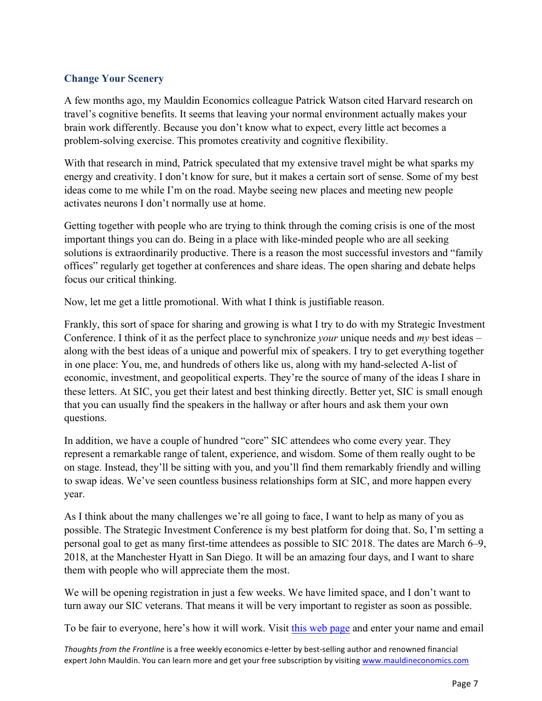## **Change Your Scenery**

A few months ago, my Mauldin Economics colleague Patrick Watson cited Harvard research on travel's cognitive benefits. It seems that leaving your normal environment actually makes your brain work differently. Because you don't know what to expect, every little act becomes a problem-solving exercise. This promotes creativity and cognitive flexibility.

With that research in mind, Patrick speculated that my extensive travel might be what sparks my energy and creativity. I don't know for sure, but it makes a certain sort of sense. Some of my best ideas come to me while I'm on the road. Maybe seeing new places and meeting new people activates neurons I don't normally use at home.

Getting together with people who are trying to think through the coming crisis is one of the most important things you can do. Being in a place with like-minded people who are all seeking solutions is extraordinarily productive. There is a reason the most successful investors and "family offices" regularly get together at conferences and share ideas. The open sharing and debate helps focus our critical thinking.

Now, let me get a little promotional. With what I think is justifiable reason.

Frankly, this sort of space for sharing and growing is what I try to do with my Strategic Investment Conference. I think of it as the perfect place to synchronize *your* unique needs and *my* best ideas – along with the best ideas of a unique and powerful mix of speakers. I try to get everything together in one place: You, me, and hundreds of others like us, along with my hand-selected A-list of economic, investment, and geopolitical experts. They're the source of many of the ideas I share in these letters. At SIC, you get their latest and best thinking directly. Better yet, SIC is small enough that you can usually find the speakers in the hallway or after hours and ask them your own questions.

In addition, we have a couple of hundred "core" SIC attendees who come every year. They represent a remarkable range of talent, experience, and wisdom. Some of them really ought to be on stage. Instead, they'll be sitting with you, and you'll find them remarkably friendly and willing to swap ideas. We've seen countless business relationships form at SIC, and more happen every year.

As I think about the many challenges we're all going to face, I want to help as many of you as possible. The Strategic Investment Conference is my best platform for doing that. So, I'm setting a personal goal to get as many first-time attendees as possible to SIC 2018. The dates are March 6–9, 2018, at the Manchester Hyatt in San Diego. It will be an amazing four days, and I want to share them with people who will appreciate them the most.

We will be opening registration in just a few weeks. We have limited space, and I don't want to turn away our SIC veterans. That means it will be very important to register as soon as possible.

To be fair to everyone, here's how it will work. Visi[t this web page](http://www.mauldineconomics.com/sic-2018) and enter your name and email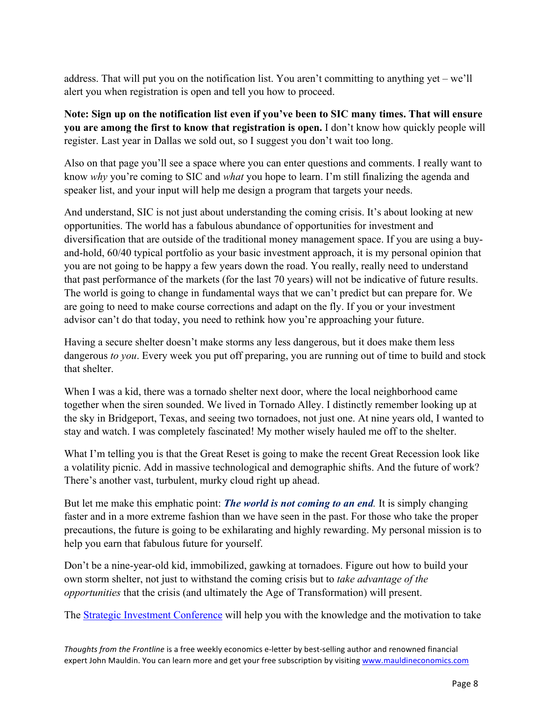address. That will put you on the notification list. You aren't committing to anything yet – we'll alert you when registration is open and tell you how to proceed.

**Note: Sign up on the notification list even if you've been to SIC many times. That will ensure you are among the first to know that registration is open.** I don't know how quickly people will register. Last year in Dallas we sold out, so I suggest you don't wait too long.

Also on that page you'll see a space where you can enter questions and comments. I really want to know *why* you're coming to SIC and *what* you hope to learn. I'm still finalizing the agenda and speaker list, and your input will help me design a program that targets your needs.

And understand, SIC is not just about understanding the coming crisis. It's about looking at new opportunities. The world has a fabulous abundance of opportunities for investment and diversification that are outside of the traditional money management space. If you are using a buyand-hold, 60/40 typical portfolio as your basic investment approach, it is my personal opinion that you are not going to be happy a few years down the road. You really, really need to understand that past performance of the markets (for the last 70 years) will not be indicative of future results. The world is going to change in fundamental ways that we can't predict but can prepare for. We are going to need to make course corrections and adapt on the fly. If you or your investment advisor can't do that today, you need to rethink how you're approaching your future.

Having a secure shelter doesn't make storms any less dangerous, but it does make them less dangerous *to you*. Every week you put off preparing, you are running out of time to build and stock that shelter.

When I was a kid, there was a tornado shelter next door, where the local neighborhood came together when the siren sounded. We lived in Tornado Alley. I distinctly remember looking up at the sky in Bridgeport, Texas, and seeing two tornadoes, not just one. At nine years old, I wanted to stay and watch. I was completely fascinated! My mother wisely hauled me off to the shelter.

What I'm telling you is that the Great Reset is going to make the recent Great Recession look like a volatility picnic. Add in massive technological and demographic shifts. And the future of work? There's another vast, turbulent, murky cloud right up ahead.

But let me make this emphatic point: *The world is not coming to an end.* It is simply changing faster and in a more extreme fashion than we have seen in the past. For those who take the proper precautions, the future is going to be exhilarating and highly rewarding. My personal mission is to help you earn that fabulous future for yourself.

Don't be a nine-year-old kid, immobilized, gawking at tornadoes. Figure out how to build your own storm shelter, not just to withstand the coming crisis but to *take advantage of the opportunities* that the crisis (and ultimately the Age of Transformation) will present.

The [Strategic Investment Conference](http://www.mauldineconomics.com/sic-2018) will help you with the knowledge and the motivation to take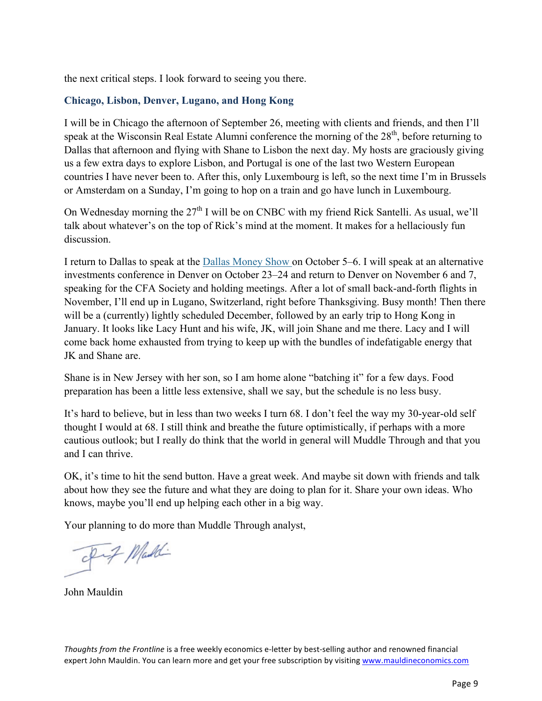the next critical steps. I look forward to seeing you there.

## **Chicago, Lisbon, Denver, Lugano, and Hong Kong**

I will be in Chicago the afternoon of September 26, meeting with clients and friends, and then I'll speak at the Wisconsin Real Estate Alumni conference the morning of the  $28<sup>th</sup>$ , before returning to Dallas that afternoon and flying with Shane to Lisbon the next day. My hosts are graciously giving us a few extra days to explore Lisbon, and Portugal is one of the last two Western European countries I have never been to. After this, only Luxembourg is left, so the next time I'm in Brussels or Amsterdam on a Sunday, I'm going to hop on a train and go have lunch in Luxembourg.

On Wednesday morning the  $27<sup>th</sup>$  I will be on CNBC with my friend Rick Santelli. As usual, we'll talk about whatever's on the top of Rick's mind at the moment. It makes for a hellaciously fun discussion.

I return to Dallas to speak at the [Dallas Money Show](https://www.moneyshow.com/events/conferences/the-moneyshow/moneyshow-dallas/speakers/1610spk/john-mauldin/?scode=043351) on October 5–6. I will speak at an alternative investments conference in Denver on October 23–24 and return to Denver on November 6 and 7, speaking for the CFA Society and holding meetings. After a lot of small back-and-forth flights in November, I'll end up in Lugano, Switzerland, right before Thanksgiving. Busy month! Then there will be a (currently) lightly scheduled December, followed by an early trip to Hong Kong in January. It looks like Lacy Hunt and his wife, JK, will join Shane and me there. Lacy and I will come back home exhausted from trying to keep up with the bundles of indefatigable energy that JK and Shane are.

Shane is in New Jersey with her son, so I am home alone "batching it" for a few days. Food preparation has been a little less extensive, shall we say, but the schedule is no less busy.

It's hard to believe, but in less than two weeks I turn 68. I don't feel the way my 30-year-old self thought I would at 68. I still think and breathe the future optimistically, if perhaps with a more cautious outlook; but I really do think that the world in general will Muddle Through and that you and I can thrive.

OK, it's time to hit the send button. Have a great week. And maybe sit down with friends and talk about how they see the future and what they are doing to plan for it. Share your own ideas. Who knows, maybe you'll end up helping each other in a big way.

Your planning to do more than Muddle Through analyst,

Out Maddi

John Mauldin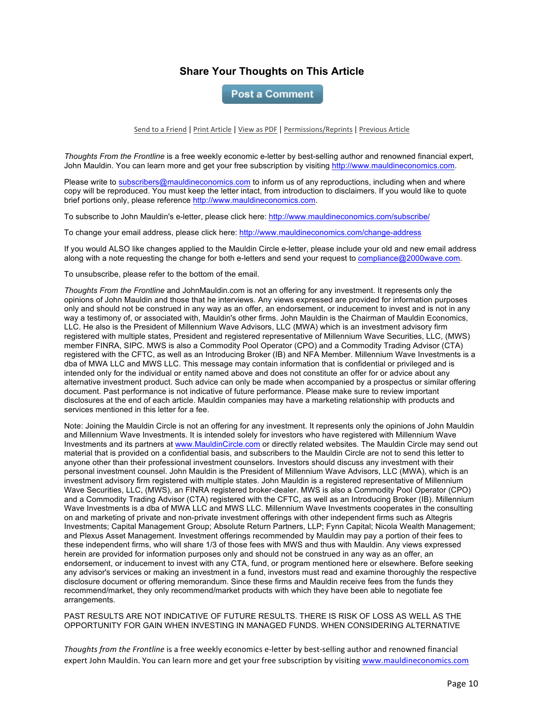## **Share Your Thoughts on This Article**

**Post a Comment** 

Send to a Friend | Print Article | View as PDF | Permissions/Reprints | Previous Article

*Thoughts From the Frontline* is a free weekly economic e-letter by best-selling author and renowned financial expert, John Mauldin. You can learn more and get your free subscription by visiting http://www.mauldineconomics.com.

Please write to subscribers@mauldineconomics.com to inform us of any reproductions, including when and where copy will be reproduced. You must keep the letter intact, from introduction to disclaimers. If you would like to quote brief portions only, please reference http://www.mauldineconomics.com.

To subscribe to John Mauldin's e-letter, please click here: http://www.mauldineconomics.com/subscribe/

To change your email address, please click here: http://www.mauldineconomics.com/change-address

If you would ALSO like changes applied to the Mauldin Circle e-letter, please include your old and new email address along with a note requesting the change for both e-letters and send your request to compliance@2000wave.com.

To unsubscribe, please refer to the bottom of the email.

*Thoughts From the Frontline* and JohnMauldin.com is not an offering for any investment. It represents only the opinions of John Mauldin and those that he interviews. Any views expressed are provided for information purposes only and should not be construed in any way as an offer, an endorsement, or inducement to invest and is not in any way a testimony of, or associated with, Mauldin's other firms. John Mauldin is the Chairman of Mauldin Economics, LLC. He also is the President of Millennium Wave Advisors, LLC (MWA) which is an investment advisory firm registered with multiple states, President and registered representative of Millennium Wave Securities, LLC, (MWS) member FINRA, SIPC. MWS is also a Commodity Pool Operator (CPO) and a Commodity Trading Advisor (CTA) registered with the CFTC, as well as an Introducing Broker (IB) and NFA Member. Millennium Wave Investments is a dba of MWA LLC and MWS LLC. This message may contain information that is confidential or privileged and is intended only for the individual or entity named above and does not constitute an offer for or advice about any alternative investment product. Such advice can only be made when accompanied by a prospectus or similar offering document. Past performance is not indicative of future performance. Please make sure to review important disclosures at the end of each article. Mauldin companies may have a marketing relationship with products and services mentioned in this letter for a fee.

Note: Joining the Mauldin Circle is not an offering for any investment. It represents only the opinions of John Mauldin and Millennium Wave Investments. It is intended solely for investors who have registered with Millennium Wave Investments and its partners at www.MauldinCircle.com or directly related websites. The Mauldin Circle may send out material that is provided on a confidential basis, and subscribers to the Mauldin Circle are not to send this letter to anyone other than their professional investment counselors. Investors should discuss any investment with their personal investment counsel. John Mauldin is the President of Millennium Wave Advisors, LLC (MWA), which is an investment advisory firm registered with multiple states. John Mauldin is a registered representative of Millennium Wave Securities, LLC, (MWS), an FINRA registered broker-dealer. MWS is also a Commodity Pool Operator (CPO) and a Commodity Trading Advisor (CTA) registered with the CFTC, as well as an Introducing Broker (IB). Millennium Wave Investments is a dba of MWA LLC and MWS LLC. Millennium Wave Investments cooperates in the consulting on and marketing of private and non-private investment offerings with other independent firms such as Altegris Investments; Capital Management Group; Absolute Return Partners, LLP; Fynn Capital; Nicola Wealth Management; and Plexus Asset Management. Investment offerings recommended by Mauldin may pay a portion of their fees to these independent firms, who will share 1/3 of those fees with MWS and thus with Mauldin. Any views expressed herein are provided for information purposes only and should not be construed in any way as an offer, an endorsement, or inducement to invest with any CTA, fund, or program mentioned here or elsewhere. Before seeking any advisor's services or making an investment in a fund, investors must read and examine thoroughly the respective disclosure document or offering memorandum. Since these firms and Mauldin receive fees from the funds they recommend/market, they only recommend/market products with which they have been able to negotiate fee arrangements.

PAST RESULTS ARE NOT INDICATIVE OF FUTURE RESULTS. THERE IS RISK OF LOSS AS WELL AS THE OPPORTUNITY FOR GAIN WHEN INVESTING IN MANAGED FUNDS. WHEN CONSIDERING ALTERNATIVE